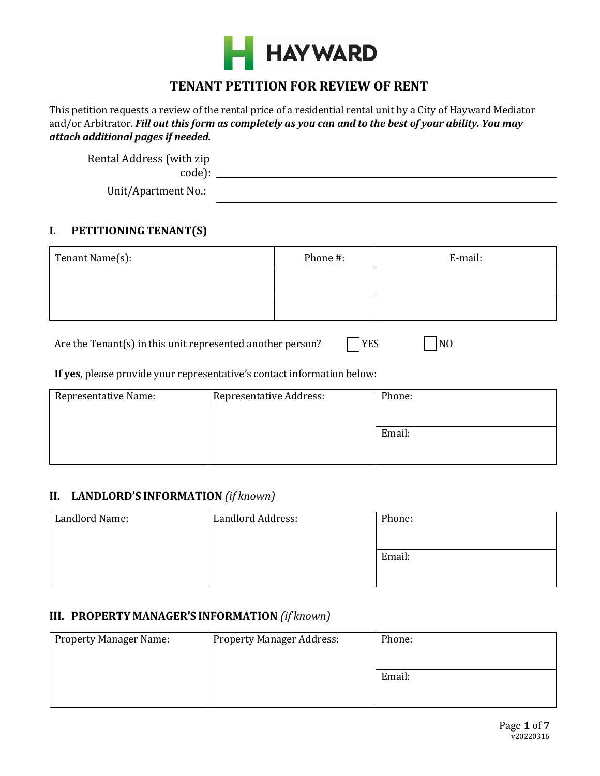

# **TENANT PETITION FOR REVIEW OF RENT**

This petition requests a review of the rental price of a residential rental unit by a City of Hayward Mediator and/or Arbitrator. *Fill out this form as completely as you can and to the best of your ability. You may attach additional pages if needed.*

| Rental Address (with zip |  |
|--------------------------|--|
| code):                   |  |
| Unit/Apartment No.:      |  |

# **I. PETITIONING TENANT(S)**

| Tenant Name(s): | Phone #: | E-mail: |
|-----------------|----------|---------|
|                 |          |         |
|                 |          |         |

Are the Tenant(s) in this unit represented another person?  $\Box$  YES  $\Box$  NO

### **If yes**, please provide your representative's contact information below:

| <b>Representative Address:</b> | Phone: |
|--------------------------------|--------|
|                                | Email: |
|                                |        |

# **II. LANDLORD'S INFORMATION** *(if known)*

| Landlord Name: | <b>Landlord Address:</b> | Phone: |
|----------------|--------------------------|--------|
|                |                          |        |
|                |                          | Email: |
|                |                          |        |

# **III. PROPERTY MANAGER'S INFORMATION** *(if known)*

| <b>Property Manager Name:</b> | <b>Property Manager Address:</b> | Phone: |
|-------------------------------|----------------------------------|--------|
|                               |                                  |        |
|                               |                                  | Email: |
|                               |                                  |        |
|                               |                                  |        |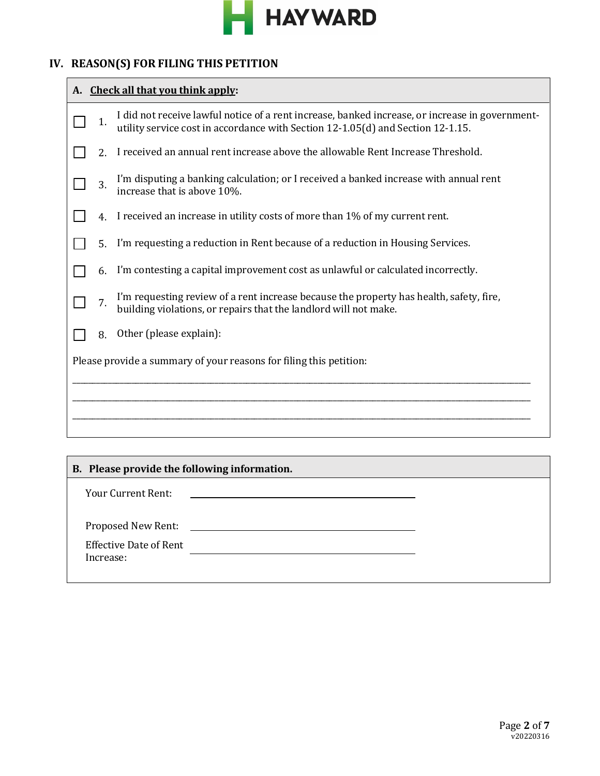

# **IV. REASON(S) FOR FILING THIS PETITION**

| A. Check all that you think apply: |                                                                                                                                                                                    |  |
|------------------------------------|------------------------------------------------------------------------------------------------------------------------------------------------------------------------------------|--|
| 1.                                 | I did not receive lawful notice of a rent increase, banked increase, or increase in government-<br>utility service cost in accordance with Section 12-1.05(d) and Section 12-1.15. |  |
| 2 <sub>1</sub>                     | I received an annual rent increase above the allowable Rent Increase Threshold.                                                                                                    |  |
| 3.                                 | I'm disputing a banking calculation; or I received a banked increase with annual rent<br>increase that is above 10%.                                                               |  |
| $\overline{4}$                     | I received an increase in utility costs of more than 1% of my current rent.                                                                                                        |  |
| 5.                                 | I'm requesting a reduction in Rent because of a reduction in Housing Services.                                                                                                     |  |
| 6.                                 | I'm contesting a capital improvement cost as unlawful or calculated incorrectly.                                                                                                   |  |
| 7.                                 | I'm requesting review of a rent increase because the property has health, safety, fire,<br>building violations, or repairs that the landlord will not make.                        |  |
| 8.                                 | Other (please explain):                                                                                                                                                            |  |
|                                    | Please provide a summary of your reasons for filing this petition:                                                                                                                 |  |
|                                    |                                                                                                                                                                                    |  |
|                                    |                                                                                                                                                                                    |  |
|                                    |                                                                                                                                                                                    |  |
|                                    | <b>R</b> Please provide the following information                                                                                                                                  |  |

| B. Please provide the following information. |                                                                    |  |
|----------------------------------------------|--------------------------------------------------------------------|--|
| <b>Your Current Rent:</b>                    | <u> 1989 - Andrea Station Barbara, amerikan personal (h. 1989)</u> |  |
| <b>Effective Date of Rent</b><br>Increase:   |                                                                    |  |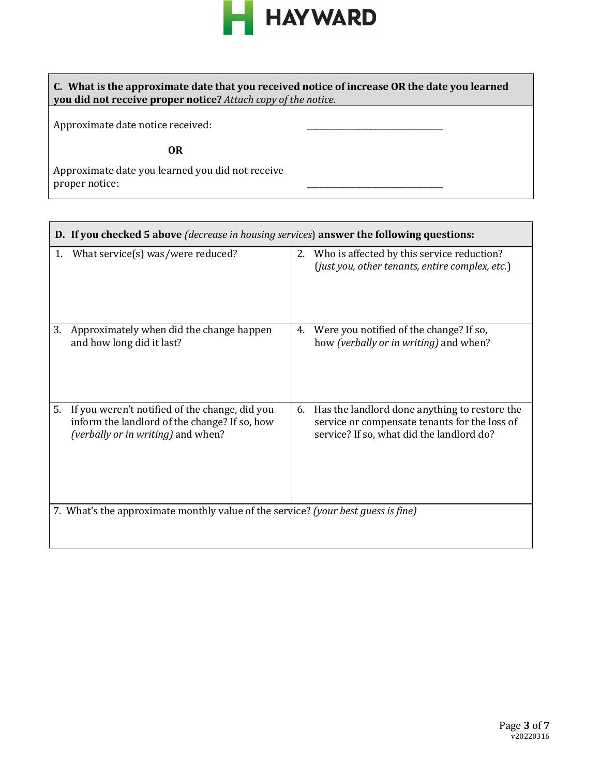

\_\_\_\_\_\_\_\_\_\_\_\_\_\_\_\_\_\_\_\_\_\_\_\_\_\_\_\_\_\_\_\_\_\_

**C. What is the approximate date that you received notice of increase OR the date you learned you did not receive proper notice?** *Attach copy of the notice.*

Approximate date notice received:

Г

**OR** 

Approximate date you learned you did not receive proper notice:

|    | <b>D.</b> If you checked 5 above <i>(decrease in housing services)</i> answer the following questions:                                |    |                                                                                                                                             |
|----|---------------------------------------------------------------------------------------------------------------------------------------|----|---------------------------------------------------------------------------------------------------------------------------------------------|
| 1. | What service(s) was/were reduced?                                                                                                     | 2. | Who is affected by this service reduction?<br>(just you, other tenants, entire complex, etc.)                                               |
| 3. | Approximately when did the change happen<br>and how long did it last?                                                                 | 4. | Were you notified of the change? If so,<br>how (verbally or in writing) and when?                                                           |
| 5. | If you weren't notified of the change, did you<br>inform the landlord of the change? If so, how<br>(verbally or in writing) and when? | 6. | Has the landlord done anything to restore the<br>service or compensate tenants for the loss of<br>service? If so, what did the landlord do? |
|    | 7. What's the approximate monthly value of the service? (your best guess is fine)                                                     |    |                                                                                                                                             |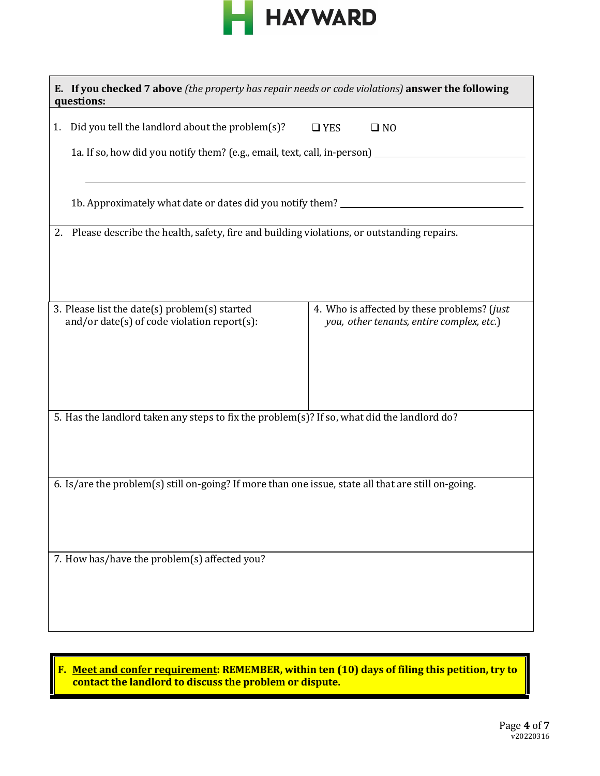

| E. If you checked 7 above (the property has repair needs or code violations) answer the following<br>questions:                                                            |                                                                                          |
|----------------------------------------------------------------------------------------------------------------------------------------------------------------------------|------------------------------------------------------------------------------------------|
| Did you tell the landlord about the problem(s)?<br>$\Box$ YES<br>1.<br>1a. If so, how did you notify them? (e.g., email, text, call, in-person) __________________________ | $\square$ NO                                                                             |
| 1b. Approximately what date or dates did you notify them? ______________________                                                                                           |                                                                                          |
| 2. Please describe the health, safety, fire and building violations, or outstanding repairs.                                                                               |                                                                                          |
| 3. Please list the date(s) problem(s) started<br>and/or date(s) of code violation report(s):                                                                               | 4. Who is affected by these problems? (just<br>you, other tenants, entire complex, etc.) |
| 5. Has the landlord taken any steps to fix the problem(s)? If so, what did the landlord do?                                                                                |                                                                                          |
| 6. Is/are the problem(s) still on-going? If more than one issue, state all that are still on-going.                                                                        |                                                                                          |
| 7. How has/have the problem(s) affected you?                                                                                                                               |                                                                                          |

**F. Meet and confer requirement: REMEMBER, within ten (10) days of filing this petition, try to contact the landlord to discuss the problem or dispute.**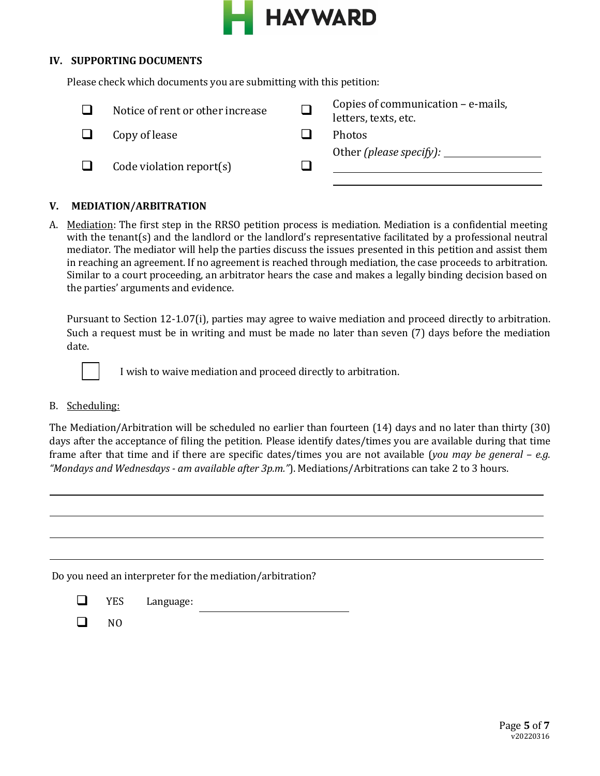

#### **IV. SUPPORTING DOCUMENTS**

Please check which documents you are submitting with this petition:

| Notice of rent or other increase | Copies of communication $-e$ -mails,<br>letters, texts, etc. |
|----------------------------------|--------------------------------------------------------------|
| Copy of lease                    | <b>Photos</b>                                                |
| Code violation report $(s)$      | Other (please specify): $\overline{\phantom{a}}$             |

## **V. MEDIATION/ARBITRATION**

A. Mediation: The first step in the RRSO petition process is mediation. Mediation is a confidential meeting with the tenant(s) and the landlord or the landlord's representative facilitated by a professional neutral mediator. The mediator will help the parties discuss the issues presented in this petition and assist them in reaching an agreement. If no agreement is reached through mediation, the case proceeds to arbitration. Similar to a court proceeding, an arbitrator hears the case and makes a legally binding decision based on the parties' arguments and evidence.

Pursuant to Section 12-1.07(i), parties may agree to waive mediation and proceed directly to arbitration. Such a request must be in writing and must be made no later than seven (7) days before the mediation date.



I wish to waive mediation and proceed directly to arbitration.

#### B. Scheduling:

The Mediation/Arbitration will be scheduled no earlier than fourteen (14) days and no later than thirty (30) days after the acceptance of filing the petition. Please identify dates/times you are available during that time frame after that time and if there are specific dates/times you are not available (*you may be general – e.g. "Mondays and Wednesdays - am available after 3p.m."*). Mediations/Arbitrations can take 2 to 3 hours.

Do you need an interpreter for the mediation/arbitration?

- **Example 3** YES Language:
- $\Box$  NO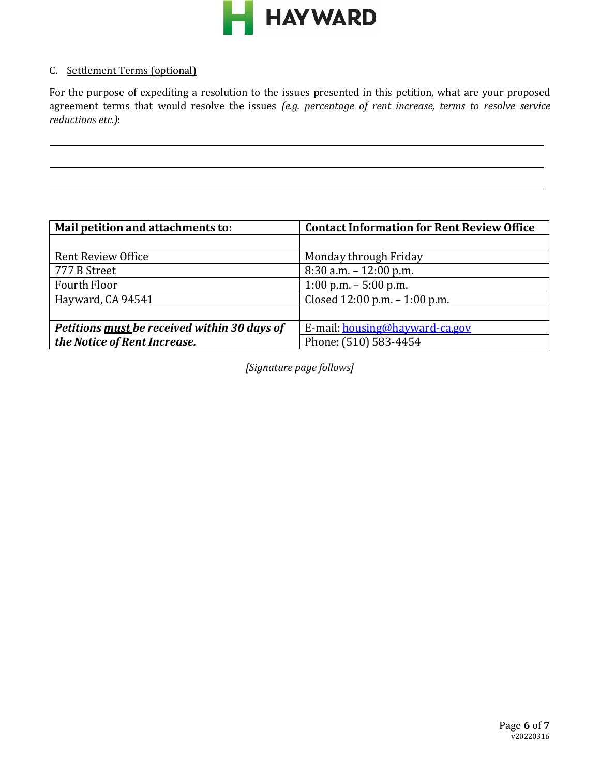

### C. Settlement Terms (optional)

For the purpose of expediting a resolution to the issues presented in this petition, what are your proposed agreement terms that would resolve the issues *(e.g. percentage of rent increase, terms to resolve service reductions etc.)*:

| Mail petition and attachments to:            | <b>Contact Information for Rent Review Office</b> |
|----------------------------------------------|---------------------------------------------------|
|                                              |                                                   |
| Rent Review Office                           | Monday through Friday                             |
| 777 B Street                                 | $8:30$ a.m. $-12:00$ p.m.                         |
| Fourth Floor                                 | $1:00$ p.m. $-5:00$ p.m.                          |
| Hayward, CA 94541                            | Closed $12:00$ p.m. $-1:00$ p.m.                  |
|                                              |                                                   |
| Petitions must be received within 30 days of | E-mail: housing@hayward-ca.gov                    |
| the Notice of Rent Increase.                 | Phone: (510) 583-4454                             |

*[Signature page follows]*